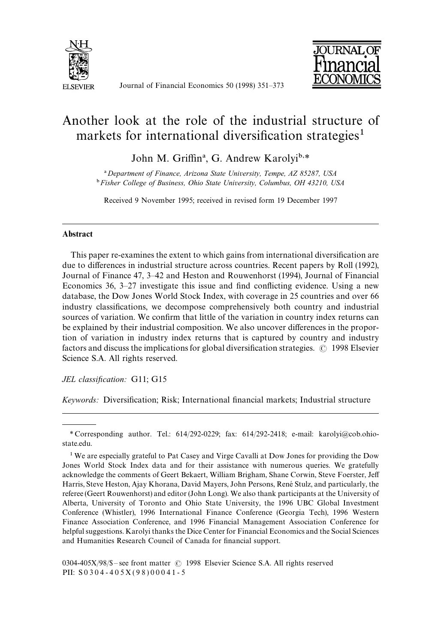

Journal of Financial Economics 50 (1998) 351*—*373



# Another look at the role of the industrial structure of markets for international diversification strategies<sup>1</sup>

John M. Griffin<sup>a</sup>, G. Andrew Karolyi<sup>b,\*</sup>

! *Department of Finance, Arizona State University, Tempe, AZ 85287, USA* " *Fisher College of Business, Ohio State University, Columbus, OH 43210, USA*

Received 9 November 1995; received in revised form 19 December 1997

## Abstract

This paper re-examines the extent to which gains from international diversification are due to differences in industrial structure across countries. Recent papers by Roll (1992), Journal of Finance 47, 3*—*42 and Heston and Rouwenhorst (1994), Journal of Financial Economics 36, 3*—*27 investigate this issue and find conflicting evidence. Using a new database, the Dow Jones World Stock Index, with coverage in 25 countries and over 66 industry classifications, we decompose comprehensively both country and industrial sources of variation. We confirm that little of the variation in country index returns can be explained by their industrial composition. We also uncover differences in the proportion of variation in industry index returns that is captured by country and industry factors and discuss the implications for global diversification strategies.  $\odot$  1998 Elsevier Science S.A. All rights reserved.

*JEL classification:* G11; G15

*Keywords:* Diversification; Risk; International financial markets; Industrial structure

*\** Corresponding author. Tel.: 614/292-0229; fax: 614/292-2418; e-mail: karolyi@cob.ohiostate.edu.

<sup>&</sup>lt;sup>1</sup> We are especially grateful to Pat Casey and Virge Cavalli at Dow Jones for providing the Dow Jones World Stock Index data and for their assistance with numerous queries. We gratefully acknowledge the comments of Geert Bekaert, William Brigham, Shane Corwin, Steve Foerster, Jeff Harris, Steve Heston, Ajay Khorana, David Mayers, John Persons, René Stulz, and particularly, the referee (Geert Rouwenhorst) and editor (John Long). We also thank participants at the University of Alberta, University of Toronto and Ohio State University, the 1996 UBC Global Investment Conference (Whistler), 1996 International Finance Conference (Georgia Tech), 1996 Western Finance Association Conference, and 1996 Financial Management Association Conference for helpful suggestions. Karolyi thanks the Dice Center for Financial Economics and the Social Sciences and Humanities Research Council of Canada for financial support.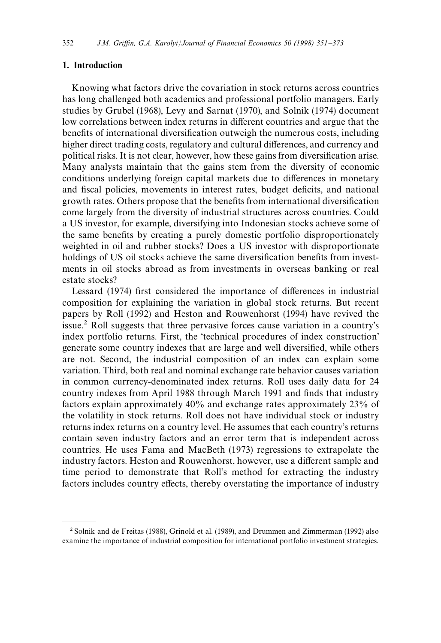# 1. Introduction

Knowing what factors drive the covariation in stock returns across countries has long challenged both academics and professional portfolio managers. Early studies by Grubel (1968), Levy and Sarnat (1970), and Solnik (1974) document low correlations between index returns in different countries and argue that the benefits of international diversification outweigh the numerous costs, including higher direct trading costs, regulatory and cultural differences, and currency and political risks. It is not clear, however, how these gains from diversification arise. Many analysts maintain that the gains stem from the diversity of economic conditions underlying foreign capital markets due to differences in monetary and fiscal policies, movements in interest rates, budget deficits, and national growth rates. Others propose that the benefits from international diversification come largely from the diversity of industrial structures across countries. Could a US investor, for example, diversifying into Indonesian stocks achieve some of the same benefits by creating a purely domestic portfolio disproportionately weighted in oil and rubber stocks? Does a US investor with disproportionate holdings of US oil stocks achieve the same diversification benefits from investments in oil stocks abroad as from investments in overseas banking or real estate stocks?

Lessard (1974) first considered the importance of differences in industrial composition for explaining the variation in global stock returns. But recent papers by Roll (1992) and Heston and Rouwenhorst (1994) have revived the issue.2 Roll suggests that three pervasive forces cause variation in a country's index portfolio returns. First, the 'technical procedures of index construction' generate some country indexes that are large and well diversified, while others are not. Second, the industrial composition of an index can explain some variation. Third, both real and nominal exchange rate behavior causes variation in common currency-denominated index returns. Roll uses daily data for 24 country indexes from April 1988 through March 1991 and finds that industry factors explain approximately 40% and exchange rates approximately 23% of the volatility in stock returns. Roll does not have individual stock or industry returns index returns on a country level. He assumes that each country's returns contain seven industry factors and an error term that is independent across countries. He uses Fama and MacBeth (1973) regressions to extrapolate the industry factors. Heston and Rouwenhorst, however, use a different sample and time period to demonstrate that Roll's method for extracting the industry factors includes country effects, thereby overstating the importance of industry

<sup>2</sup> Solnik and de Freitas (1988), Grinold et al. (1989), and Drummen and Zimmerman (1992) also examine the importance of industrial composition for international portfolio investment strategies.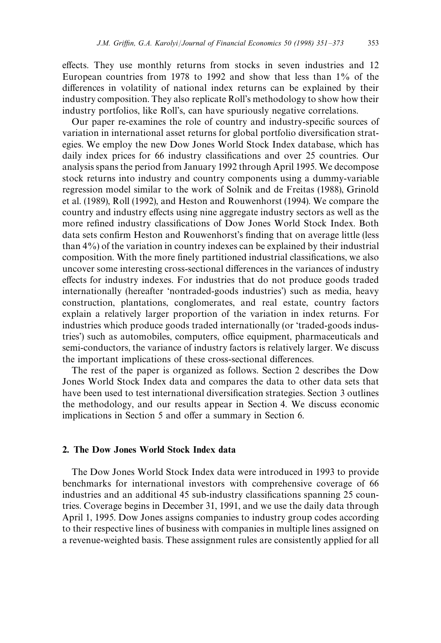effects. They use monthly returns from stocks in seven industries and 12 European countries from 1978 to 1992 and show that less than 1% of the differences in volatility of national index returns can be explained by their industry composition. They also replicate Roll's methodology to show how their industry portfolios, like Roll's, can have spuriously negative correlations.

Our paper re-examines the role of country and industry-specific sources of variation in international asset returns for global portfolio diversification strategies. We employ the new Dow Jones World Stock Index database, which has daily index prices for 66 industry classifications and over 25 countries. Our analysis spans the period from January 1992 through April 1995. We decompose stock returns into industry and country components using a dummy-variable regression model similar to the work of Solnik and de Freitas (1988), Grinold et al. (1989), Roll (1992), and Heston and Rouwenhorst (1994). We compare the country and industry effects using nine aggregate industry sectors as well as the more refined industry classifications of Dow Jones World Stock Index. Both data sets confirm Heston and Rouwenhorst's finding that on average little (less than 4%) of the variation in country indexes can be explained by their industrial composition. With the more finely partitioned industrial classifications, we also uncover some interesting cross-sectional differences in the variances of industry effects for industry indexes. For industries that do not produce goods traded internationally (hereafter 'nontraded-goods industries') such as media, heavy construction, plantations, conglomerates, and real estate, country factors explain a relatively larger proportion of the variation in index returns. For industries which produce goods traded internationally (or 'traded-goods industries') such as automobiles, computers, office equipment, pharmaceuticals and semi-conductors, the variance of industry factors is relatively larger. We discuss the important implications of these cross-sectional differences.

The rest of the paper is organized as follows. Section 2 describes the Dow Jones World Stock Index data and compares the data to other data sets that have been used to test international diversification strategies. Section 3 outlines the methodology, and our results appear in Section 4. We discuss economic implications in Section 5 and offer a summary in Section 6.

# 2. The Dow Jones World Stock Index data

The Dow Jones World Stock Index data were introduced in 1993 to provide benchmarks for international investors with comprehensive coverage of 66 industries and an additional 45 sub-industry classifications spanning 25 countries. Coverage begins in December 31, 1991, and we use the daily data through April 1, 1995. Dow Jones assigns companies to industry group codes according to their respective lines of business with companies in multiple lines assigned on a revenue-weighted basis. These assignment rules are consistently applied for all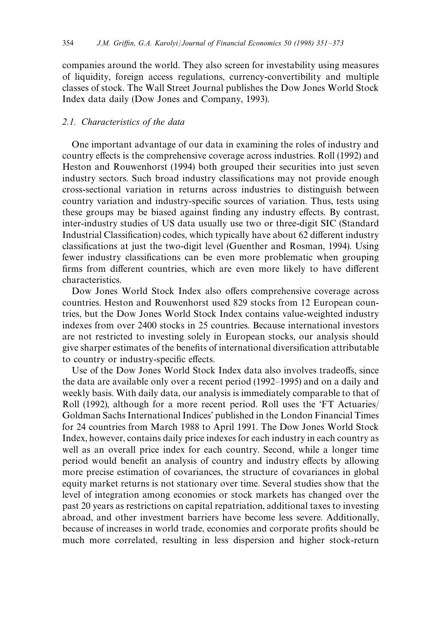companies around the world. They also screen for investability using measures of liquidity, foreign access regulations, currency-convertibility and multiple classes of stock. The Wall Street Journal publishes the Dow Jones World Stock Index data daily (Dow Jones and Company, 1993).

# *2.1. Characteristics of the data*

One important advantage of our data in examining the roles of industry and country effects is the comprehensive coverage across industries. Roll (1992) and Heston and Rouwenhorst (1994) both grouped their securities into just seven industry sectors. Such broad industry classifications may not provide enough cross-sectional variation in returns across industries to distinguish between country variation and industry-specific sources of variation. Thus, tests using these groups may be biased against finding any industry effects. By contrast, inter-industry studies of US data usually use two or three-digit SIC (Standard Industrial Classification) codes, which typically have about 62 different industry classifications at just the two-digit level (Guenther and Rosman, 1994). Using fewer industry classifications can be even more problematic when grouping firms from different countries, which are even more likely to have different characteristics.

Dow Jones World Stock Index also offers comprehensive coverage across countries. Heston and Rouwenhorst used 829 stocks from 12 European countries, but the Dow Jones World Stock Index contains value-weighted industry indexes from over 2400 stocks in 25 countries. Because international investors are not restricted to investing solely in European stocks, our analysis should give sharper estimates of the benefits of international diversification attributable to country or industry-specific effects.

Use of the Dow Jones World Stock Index data also involves tradeoffs, since the data are available only over a recent period (1992*—*1995) and on a daily and weekly basis. With daily data, our analysis is immediately comparable to that of Roll (1992), although for a more recent period. Roll uses the 'FT Actuaries/ Goldman Sachs International Indices' published in the London Financial Times for 24 countries from March 1988 to April 1991. The Dow Jones World Stock Index, however, contains daily price indexes for each industry in each country as well as an overall price index for each country. Second, while a longer time period would benefit an analysis of country and industry effects by allowing more precise estimation of covariances, the structure of covariances in global equity market returns is not stationary over time. Several studies show that the level of integration among economies or stock markets has changed over the past 20 years as restrictions on capital repatriation, additional taxes to investing abroad, and other investment barriers have become less severe. Additionally, because of increases in world trade, economies and corporate profits should be much more correlated, resulting in less dispersion and higher stock-return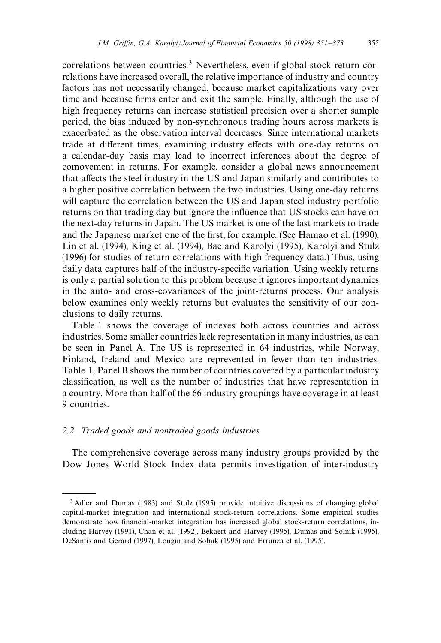correlations between countries.<sup>3</sup> Nevertheless, even if global stock-return correlations have increased overall, the relative importance of industry and country factors has not necessarily changed, because market capitalizations vary over time and because firms enter and exit the sample. Finally, although the use of high frequency returns can increase statistical precision over a shorter sample period, the bias induced by non-synchronous trading hours across markets is exacerbated as the observation interval decreases. Since international markets trade at different times, examining industry effects with one-day returns on a calendar-day basis may lead to incorrect inferences about the degree of comovement in returns. For example, consider a global news announcement that affects the steel industry in the US and Japan similarly and contributes to a higher positive correlation between the two industries. Using one-day returns will capture the correlation between the US and Japan steel industry portfolio returns on that trading day but ignore the influence that US stocks can have on the next-day returns in Japan. The US market is one of the last markets to trade and the Japanese market one of the first, for example. (See Hamao et al. (1990), Lin et al. (1994), King et al. (1994), Bae and Karolyi (1995), Karolyi and Stulz (1996) for studies of return correlations with high frequency data.) Thus, using daily data captures half of the industry-specific variation. Using weekly returns is only a partial solution to this problem because it ignores important dynamics in the auto- and cross-covariances of the joint-returns process. Our analysis below examines only weekly returns but evaluates the sensitivity of our conclusions to daily returns.

Table 1 shows the coverage of indexes both across countries and across industries. Some smaller countries lack representation in many industries, as can be seen in Panel A. The US is represented in 64 industries, while Norway, Finland, Ireland and Mexico are represented in fewer than ten industries. Table 1, Panel B shows the number of countries covered by a particular industry classification, as well as the number of industries that have representation in a country. More than half of the 66 industry groupings have coverage in at least 9 countries.

# *2.2. Traded goods and nontraded goods industries*

The comprehensive coverage across many industry groups provided by the Dow Jones World Stock Index data permits investigation of inter-industry

<sup>3</sup> Adler and Dumas (1983) and Stulz (1995) provide intuitive discussions of changing global capital-market integration and international stock-return correlations. Some empirical studies demonstrate how financial-market integration has increased global stock-return correlations, including Harvey (1991), Chan et al. (1992), Bekaert and Harvey (1995), Dumas and Solnik (1995), DeSantis and Gerard (1997), Longin and Solnik (1995) and Errunza et al. (1995).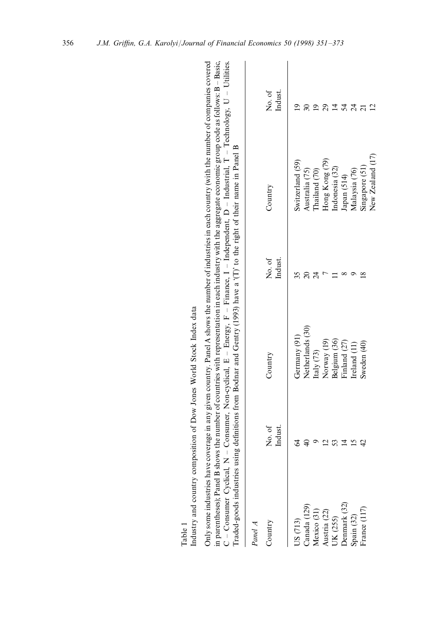|              |                   | in parentheses); Panel B shows the number of countries with representation in each industry with the aggregate economic group code as follows: B - Basic,<br>C – Consumer Cyclical, N – Consumer, Non-cyclical, E – Energy, F – Finance, I – Independent, D – Industrial, T – Technology, U – Utilities.<br>Traded-goods industries using definitions from Bodnar and Gentry (1993) have a '(T)' to the right of their name in Panel B |                  |                  |                  |
|--------------|-------------------|----------------------------------------------------------------------------------------------------------------------------------------------------------------------------------------------------------------------------------------------------------------------------------------------------------------------------------------------------------------------------------------------------------------------------------------|------------------|------------------|------------------|
| Panel A      |                   |                                                                                                                                                                                                                                                                                                                                                                                                                                        |                  |                  |                  |
| Country      | No. of<br>Indust. | Country                                                                                                                                                                                                                                                                                                                                                                                                                                | No. of<br>Indust | Country          | No.of<br>Indust. |
| US (713)     |                   | Germany (91)                                                                                                                                                                                                                                                                                                                                                                                                                           |                  | Switzerland (59) |                  |
| Canada (129) |                   | <b>Netherlands</b> (30)                                                                                                                                                                                                                                                                                                                                                                                                                |                  | Australia (75)   |                  |
| Mexico (31)  |                   | (taly (73)                                                                                                                                                                                                                                                                                                                                                                                                                             |                  | hailand (70)     |                  |
| Austria (22) |                   | Norway (19)                                                                                                                                                                                                                                                                                                                                                                                                                            |                  | Hong Kong (79)   |                  |
| UK (255)     |                   | Belgium (36)                                                                                                                                                                                                                                                                                                                                                                                                                           |                  | Indonesia (32)   |                  |
| Denmark (32) |                   | Finland (27)                                                                                                                                                                                                                                                                                                                                                                                                                           |                  | Japan (514)      |                  |
| Spain (32)   |                   | reland (11)                                                                                                                                                                                                                                                                                                                                                                                                                            |                  | Malaysia (76)    |                  |
| France (117) |                   | Sweden (40)                                                                                                                                                                                                                                                                                                                                                                                                                            |                  | ingapore (51)    |                  |
|              |                   |                                                                                                                                                                                                                                                                                                                                                                                                                                        |                  | New Zealand (17) |                  |

Industry and country composition of Dow Jones World Stock Index data Industry and country composition of Dow Jones World Stock Index data

Table 1

Only some industries have coverage in any given country. Panel A shows the number of industries in each country (with the number of companies covered Only some industries have coverage in any given country. Panel A shows the number of industries in each country (with the number of companies covered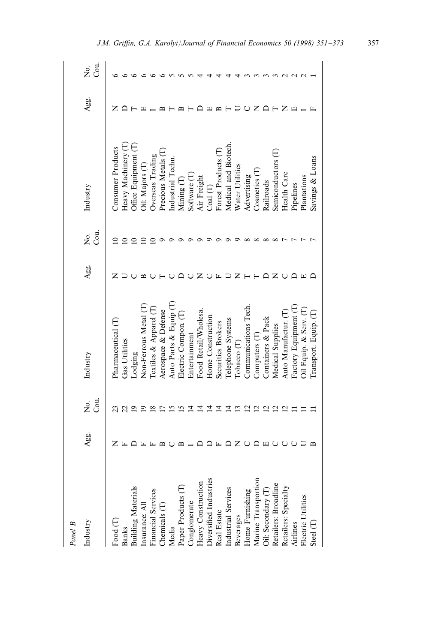| Panel B                   |      |          |                        |      |             |                                         |      |             |
|---------------------------|------|----------|------------------------|------|-------------|-----------------------------------------|------|-------------|
| Industry                  | Agg. | ರೆ<br>Σ. | Industry               | Agg. | Cou.<br>Σó. | Industry                                | Agg. | Cou.<br>Σó. |
| Food $(T)$                |      |          | Pharmaceutical (T      |      |             | Consumer Products                       |      |             |
| <b>Banks</b>              |      |          | Gas Utilities          |      |             | Heavy Machinery (T)                     |      |             |
| <b>Building Materials</b> |      |          | Lodging                |      |             | Office Equipment (T)                    |      |             |
| Insurance: All            |      |          | Non-Ferrous Metal (T)  |      |             | Oil: Majors (T)                         |      |             |
| Financial Services        |      |          | Textiles & Apparel (T) |      |             | Overseas Trading                        |      |             |
| Chemicals (T)             |      |          | Aerospace & Defense    |      |             | Precious Metals (                       |      |             |
| Media                     |      |          | Auto Parts & Equip (T) |      |             | Industrial Techn                        |      |             |
| Paper Products (T         |      |          | Electric Compon. (T)   |      |             | Mining (T)                              |      |             |
| Conglomerate              |      |          | Entertainment          |      |             | Software (T)                            |      |             |
| Heavy Construction        |      |          | Food Retail/Wholesa.   |      |             | Air Freight                             |      |             |
| Diversified Industries    |      |          | Home Construction      |      |             | $\mathrm{Coal}\left( \mathbb{T}\right)$ |      |             |
| Real Estate               |      |          | Securities Brokers     |      |             | Forest Products (T)                     |      |             |
| Industrial Services       |      |          | elephone Systems       |      |             | Medical and Biotech                     |      |             |
| Beverages                 |      |          | [obacco(T)             |      |             | Water Utilities                         |      |             |
| Home Furnishing           |      |          | Communications Tech    |      |             | Advertising                             |      |             |
| Marine Transportion       |      |          | Computers (T)          |      |             | Cosmetics (T                            |      |             |
| Oil: Secondary (T)        |      |          | Containers & Pack      |      |             | Railroads                               |      |             |
| Retailers: Broadline      |      |          | Medical Supplies       |      |             | Semiconductors (T                       |      |             |
| Retailers: Specialty      |      |          | Auto Manufactur. (T    |      |             | Health Care                             |      |             |
| Airlines                  |      |          | Factory Equipment (T   |      |             | Pipelines                               |      |             |
| Electric Utilities        |      |          | Oil Equip. & Serv. (T) |      |             | Plantations                             |      |             |
| Steel (T)                 |      |          | Transport. Equip. (T)  |      |             | Savings & Loans                         |      |             |
|                           |      |          |                        |      |             |                                         |      |             |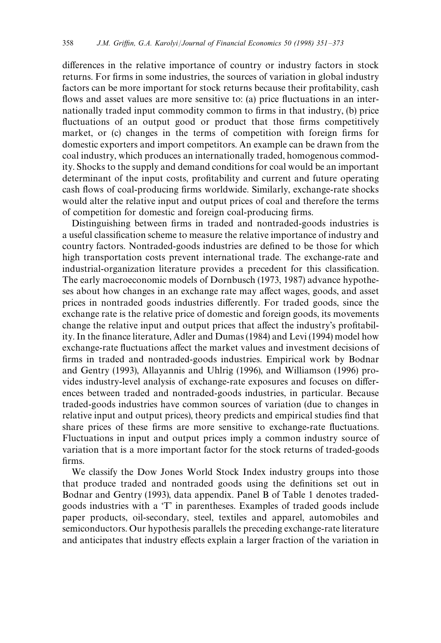differences in the relative importance of country or industry factors in stock returns. For firms in some industries, the sources of variation in global industry factors can be more important for stock returns because their profitability, cash flows and asset values are more sensitive to: (a) price fluctuations in an internationally traded input commodity common to firms in that industry, (b) price fluctuations of an output good or product that those firms competitively market, or (c) changes in the terms of competition with foreign firms for domestic exporters and import competitors. An example can be drawn from the coal industry, which produces an internationally traded, homogenous commodity. Shocks to the supply and demand conditions for coal would be an important determinant of the input costs, profitability and current and future operating cash flows of coal-producing firms worldwide. Similarly, exchange-rate shocks would alter the relative input and output prices of coal and therefore the terms of competition for domestic and foreign coal-producing firms.

Distinguishing between firms in traded and nontraded-goods industries is a useful classification scheme to measure the relative importance of industry and country factors. Nontraded-goods industries are defined to be those for which high transportation costs prevent international trade. The exchange-rate and industrial-organization literature provides a precedent for this classification. The early macroeconomic models of Dornbusch (1973, 1987) advance hypotheses about how changes in an exchange rate may affect wages, goods, and asset prices in nontraded goods industries differently. For traded goods, since the exchange rate is the relative price of domestic and foreign goods, its movements change the relative input and output prices that affect the industry's profitability. In the finance literature, Adler and Dumas (1984) and Levi (1994) model how exchange-rate fluctuations affect the market values and investment decisions of firms in traded and nontraded-goods industries. Empirical work by Bodnar and Gentry (1993), Allayannis and Uhlrig (1996), and Williamson (1996) provides industry-level analysis of exchange-rate exposures and focuses on differences between traded and nontraded-goods industries, in particular. Because traded-goods industries have common sources of variation (due to changes in relative input and output prices), theory predicts and empirical studies find that share prices of these firms are more sensitive to exchange-rate fluctuations. Fluctuations in input and output prices imply a common industry source of variation that is a more important factor for the stock returns of traded-goods firms.

We classify the Dow Jones World Stock Index industry groups into those that produce traded and nontraded goods using the definitions set out in Bodnar and Gentry (1993), data appendix. Panel B of Table 1 denotes tradedgoods industries with a 'T' in parentheses. Examples of traded goods include paper products, oil-secondary, steel, textiles and apparel, automobiles and semiconductors. Our hypothesis parallels the preceding exchange-rate literature and anticipates that industry effects explain a larger fraction of the variation in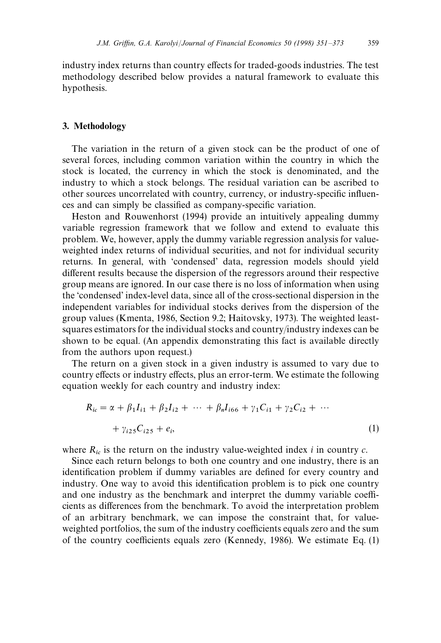industry index returns than country effects for traded-goods industries. The test methodology described below provides a natural framework to evaluate this hypothesis.

# 3. Methodology

The variation in the return of a given stock can be the product of one of several forces, including common variation within the country in which the stock is located, the currency in which the stock is denominated, and the industry to which a stock belongs. The residual variation can be ascribed to other sources uncorrelated with country, currency, or industry-specific influences and can simply be classified as company-specific variation.

Heston and Rouwenhorst (1994) provide an intuitively appealing dummy variable regression framework that we follow and extend to evaluate this problem. We, however, apply the dummy variable regression analysis for valueweighted index returns of individual securities, and not for individual security returns. In general, with 'condensed' data, regression models should yield different results because the dispersion of the regressors around their respective group means are ignored. In our case there is no loss of information when using the 'condensed' index-level data, since all of the cross-sectional dispersion in the independent variables for individual stocks derives from the dispersion of the group values (Kmenta, 1986, Section 9.2; Haitovsky, 1973). The weighted leastsquares estimators for the individual stocks and country/industry indexes can be shown to be equal. (An appendix demonstrating this fact is available directly from the authors upon request.)

The return on a given stock in a given industry is assumed to vary due to country effects or industry effects, plus an error-term. We estimate the following equation weekly for each country and industry index:

$$
R_{ic} = \alpha + \beta_1 I_{i1} + \beta_2 I_{i2} + \dots + \beta_n I_{i66} + \gamma_1 C_{i1} + \gamma_2 C_{i2} + \dots
$$
  
+  $\gamma_{i25} C_{i25} + e_i,$  (1)

where  $R_{ic}$  is the return on the industry value-weighted index *i* in country *c*.

Since each return belongs to both one country and one industry, there is an identification problem if dummy variables are defined for every country and industry. One way to avoid this identification problem is to pick one country and one industry as the benchmark and interpret the dummy variable coefficients as differences from the benchmark. To avoid the interpretation problem of an arbitrary benchmark, we can impose the constraint that, for valueweighted portfolios, the sum of the industry coefficients equals zero and the sum of the country coefficients equals zero (Kennedy, 1986). We estimate Eq. (1)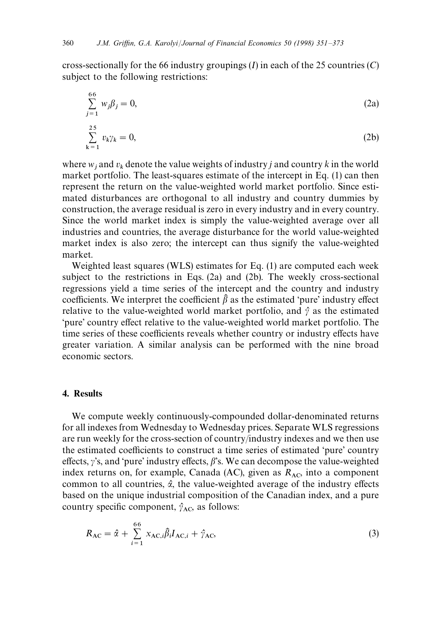cross-sectionally for the 66 industry groupings (*I*) in each of the 25 countries (*C*) subject to the following restrictions:

$$
\sum_{j=1}^{66} w_j \beta_j = 0,
$$
\n(2a)\n
$$
\sum_{j=1}^{25} v_k \gamma_k = 0,
$$
\n(2b)

where  $w_j$  and  $v_k$  denote the value weights of industry *j* and country *k* in the world market portfolio. The least-squares estimate of the intercept in Eq. (1) can then represent the return on the value-weighted world market portfolio. Since estimated disturbances are orthogonal to all industry and country dummies by construction, the average residual is zero in every industry and in every country. Since the world market index is simply the value-weighted average over all industries and countries, the average disturbance for the world value-weighted market index is also zero; the intercept can thus signify the value-weighted market.

Weighted least squares (WLS) estimates for Eq. (1) are computed each week subject to the restrictions in Eqs. (2a) and (2b). The weekly cross-sectional regressions yield a time series of the intercept and the country and industry coefficients. We interpret the coefficient  $\hat{\beta}$  as the estimated 'pure' industry effect relative to the value-weighted world market portfolio, and  $\hat{y}$  as the estimated 'pure' country effect relative to the value-weighted world market portfolio. The time series of these coefficients reveals whether country or industry effects have greater variation. A similar analysis can be performed with the nine broad economic sectors.

## 4. Results

 $k=1$ 

We compute weekly continuously-compounded dollar-denominated returns for all indexes from Wednesday to Wednesday prices. Separate WLS regressions are run weekly for the cross-section of country/industry indexes and we then use the estimated coefficients to construct a time series of estimated 'pure' country effects,  $\gamma$ 's, and 'pure' industry effects,  $\beta$ 's. We can decompose the value-weighted index returns on, for example, Canada  $(AC)$ , given as  $R_{AC}$ , into a component common to all countries,  $\hat{\alpha}$ , the value-weighted average of the industry effects based on the unique industrial composition of the Canadian index, and a pure country specific component,  $\hat{\gamma}_{AC}$ , as follows:

$$
R_{AC} = \hat{\alpha} + \sum_{i=1}^{66} x_{AC,i} \hat{\beta}_i I_{AC,i} + \hat{\gamma}_{AC},
$$
\n(3)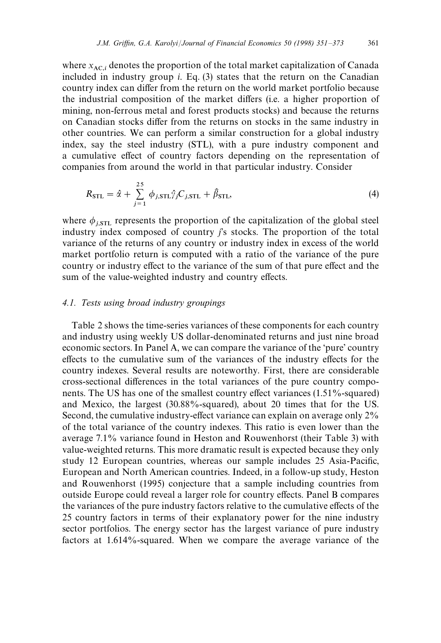where  $x_{AC,i}$  denotes the proportion of the total market capitalization of Canada included in industry group *i*. Eq. (3) states that the return on the Canadian country index can differ from the return on the world market portfolio because the industrial composition of the market differs (i.e. a higher proportion of mining, non-ferrous metal and forest products stocks) and because the returns on Canadian stocks differ from the returns on stocks in the same industry in other countries. We can perform a similar construction for a global industry index, say the steel industry (STL), with a pure industry component and a cumulative effect of country factors depending on the representation of companies from around the world in that particular industry. Consider

$$
R_{\text{STL}} = \hat{\alpha} + \sum_{j=1}^{25} \phi_{j,\text{STL}} \hat{\gamma}_j C_{j,\text{STL}} + \hat{\beta}_{\text{STL}},
$$
\n(4)

where  $\phi_{i,STL}$  represents the proportion of the capitalization of the global steel industry index composed of country *j*'s stocks. The proportion of the total variance of the returns of any country or industry index in excess of the world market portfolio return is computed with a ratio of the variance of the pure country or industry effect to the variance of the sum of that pure effect and the sum of the value-weighted industry and country effects.

#### *4.1. Tests using broad industry groupings*

Table 2 shows the time-series variances of these components for each country and industry using weekly US dollar-denominated returns and just nine broad economic sectors. In Panel A, we can compare the variance of the 'pure' country effects to the cumulative sum of the variances of the industry effects for the country indexes. Several results are noteworthy. First, there are considerable cross-sectional differences in the total variances of the pure country components. The US has one of the smallest country effect variances (1.51%-squared) and Mexico, the largest (30.88%-squared), about 20 times that for the US. Second, the cumulative industry-effect variance can explain on average only 2% of the total variance of the country indexes. This ratio is even lower than the average 7.1% variance found in Heston and Rouwenhorst (their Table 3) with value-weighted returns. This more dramatic result is expected because they only study 12 European countries, whereas our sample includes 25 Asia-Pacific, European and North American countries. Indeed, in a follow-up study, Heston and Rouwenhorst (1995) conjecture that a sample including countries from outside Europe could reveal a larger role for country effects. Panel B compares the variances of the pure industry factors relative to the cumulative effects of the 25 country factors in terms of their explanatory power for the nine industry sector portfolios. The energy sector has the largest variance of pure industry factors at 1.614%-squared. When we compare the average variance of the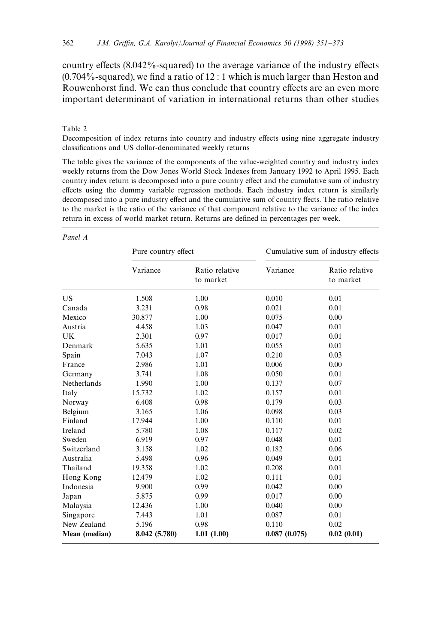country effects (8.042%-squared) to the average variance of the industry effects (0.704%-squared), we find a ratio of 12 : 1 which is much larger than Heston and Rouwenhorst find. We can thus conclude that country effects are an even more important determinant of variation in international returns than other studies

#### Table 2

Decomposition of index returns into country and industry effects using nine aggregate industry classifications and US dollar-denominated weekly returns

The table gives the variance of the components of the value-weighted country and industry index weekly returns from the Dow Jones World Stock Indexes from January 1992 to April 1995. Each country index return is decomposed into a pure country effect and the cumulative sum of industry effects using the dummy variable regression methods. Each industry index return is similarly decomposed into a pure industry effect and the cumulative sum of country ffects. The ratio relative to the market is the ratio of the variance of that component relative to the variance of the index return in excess of world market return. Returns are defined in percentages per week.

#### *Panel A*

|               | Pure country effect |                             |              | Cumulative sum of industry effects |  |
|---------------|---------------------|-----------------------------|--------------|------------------------------------|--|
|               | Variance            | Ratio relative<br>to market | Variance     | Ratio relative<br>to market        |  |
| US            | 1.508               | 1.00                        | 0.010        | 0.01                               |  |
| Canada        | 3.231               | 0.98                        | 0.021        | 0.01                               |  |
| Mexico        | 30.877              | 1.00                        | 0.075        | 0.00                               |  |
| Austria       | 4.458               | 1.03                        | 0.047        | 0.01                               |  |
| UK            | 2.301               | 0.97                        | 0.017        | 0.01                               |  |
| Denmark       | 5.635               | 1.01                        | 0.055        | 0.01                               |  |
| Spain         | 7.043               | 1.07                        | 0.210        | 0.03                               |  |
| France        | 2.986               | 1.01                        | 0.006        | 0.00                               |  |
| Germany       | 3.741               | 1.08                        | 0.050        | 0.01                               |  |
| Netherlands   | 1.990               | 1.00                        | 0.137        | 0.07                               |  |
| Italy         | 15.732              | 1.02                        | 0.157        | 0.01                               |  |
| Norway        | 6.408               | 0.98                        | 0.179        | 0.03                               |  |
| Belgium       | 3.165               | 1.06                        | 0.098        | 0.03                               |  |
| Finland       | 17.944              | 1.00                        | 0.110        | 0.01                               |  |
| Ireland       | 5.780               | 1.08                        | 0.117        | 0.02                               |  |
| Sweden        | 6.919               | 0.97                        | 0.048        | 0.01                               |  |
| Switzerland   | 3.158               | 1.02                        | 0.182        | 0.06                               |  |
| Australia     | 5.498               | 0.96                        | 0.049        | 0.01                               |  |
| Thailand      | 19.358              | 1.02                        | 0.208        | 0.01                               |  |
| Hong Kong     | 12.479              | 1.02                        | 0.111        | 0.01                               |  |
| Indonesia     | 9.900               | 0.99                        | 0.042        | 0.00                               |  |
| Japan         | 5.875               | 0.99                        | 0.017        | 0.00                               |  |
| Malaysia      | 12.436              | 1.00                        | 0.040        | 0.00                               |  |
| Singapore     | 7.443               | 1.01                        | 0.087        | 0.01                               |  |
| New Zealand   | 5.196               | 0.98                        | 0.110        | 0.02                               |  |
| Mean (median) | 8.042 (5.780)       | 1.01(1.00)                  | 0.087(0.075) | 0.02(0.01)                         |  |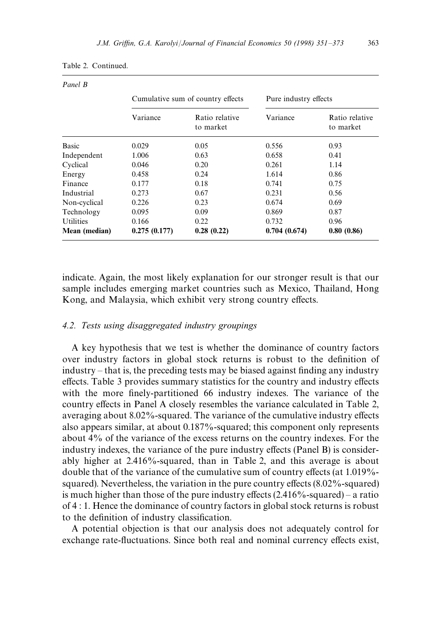|               |              | Cumulative sum of country effects | Pure industry effects |                             |
|---------------|--------------|-----------------------------------|-----------------------|-----------------------------|
|               | Variance     | Ratio relative<br>to market       | Variance              | Ratio relative<br>to market |
| Basic         | 0.029        | 0.05                              | 0.556                 | 0.93                        |
| Independent   | 1.006        | 0.63                              | 0.658                 | 0.41                        |
| Cyclical      | 0.046        | 0.20                              | 0.261                 | 1.14                        |
| Energy        | 0.458        | 0.24                              | 1.614                 | 0.86                        |
| Finance       | 0.177        | 0.18                              | 0.741                 | 0.75                        |
| Industrial    | 0.273        | 0.67                              | 0.231                 | 0.56                        |
| Non-cyclical  | 0.226        | 0.23                              | 0.674                 | 0.69                        |
| Technology    | 0.095        | 0.09                              | 0.869                 | 0.87                        |
| Utilities     | 0.166        | 0.22                              | 0.732                 | 0.96                        |
| Mean (median) | 0.275(0.177) | 0.28(0.22)                        | 0.704(0.674)          | 0.80(0.86)                  |

## Table 2. Continued.

*Panel B*

indicate. Again, the most likely explanation for our stronger result is that our sample includes emerging market countries such as Mexico, Thailand, Hong Kong, and Malaysia, which exhibit very strong country effects.

## *4.2. Tests using disaggregated industry groupings*

A key hypothesis that we test is whether the dominance of country factors over industry factors in global stock returns is robust to the definition of industry *—* that is, the preceding tests may be biased against finding any industry effects. Table 3 provides summary statistics for the country and industry effects with the more finely-partitioned 66 industry indexes. The variance of the country effects in Panel A closely resembles the variance calculated in Table 2, averaging about 8.02%-squared. The variance of the cumulative industry effects also appears similar, at about 0.187%-squared; this component only represents about 4% of the variance of the excess returns on the country indexes. For the industry indexes, the variance of the pure industry effects (Panel B) is considerably higher at 2.416%-squared, than in Table 2, and this average is about double that of the variance of the cumulative sum of country effects (at 1.019% squared). Nevertheless, the variation in the pure country effects (8.02%-squared) is much higher than those of the pure industry effects (2.416%-squared) *—* a ratio of 4 : 1. Hence the dominance of country factors in global stock returns is robust to the definition of industry classification.

A potential objection is that our analysis does not adequately control for exchange rate-fluctuations. Since both real and nominal currency effects exist,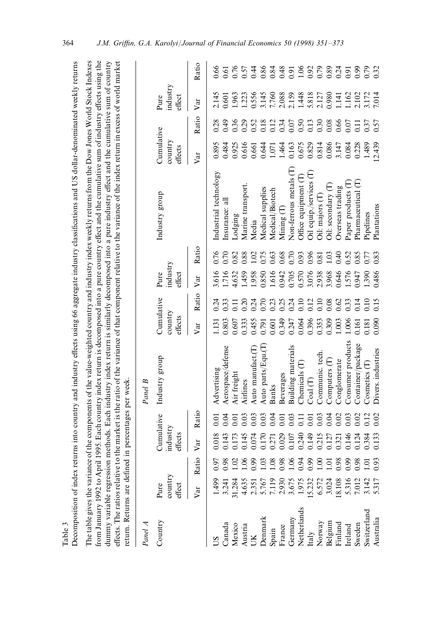Decomposition of index returns into country and industry effects using 66 aggregate industry classifications and US dollar-denominated weekly returns Decomposition of index returns into country and industry effects using 66 aggregate industry classifications and US dollar-denominated weekly returns

from January 1992 to April 1995. Each country index return is decomposed into a pure country effect and the cumulative sum of industry effects using the The table gives the variance of the components of the value-weighted country and industry index weekly returns from the Dow Jones World Stock Indexes The table gives the variance of the components of the value-weighted country and industry index weekly returns from the Dow Jones World Stock Indexes from January 1992 to April 1995. Each country index return is decomposed into a pure country effect and the cumulative sum of industry effects using the dummy variable regression methods. Each industry index return is similarly decomposed into a pure industry effect and the cumulative sum of country dummy variable regression methods. Each industry index return is similarly decomposed into a pure industry effect and the cumulative sum of country effects. The ratios relative to the market is the ratio of the variance of that component relative to the variance of the index return in excess of world market effects. The ratios relative to the market is the ratio of the variance of that component relative to the variance of the index return in excess of world market return. Returns are defined in percentages per week return. Returns are defined in percentages per week.

| Panel A     |                           |                |                     |                   | Panel B                       |                    |                   |                            |       |                        |                                         |       |                            |                            |
|-------------|---------------------------|----------------|---------------------|-------------------|-------------------------------|--------------------|-------------------|----------------------------|-------|------------------------|-----------------------------------------|-------|----------------------------|----------------------------|
| Country     | country<br>Pure<br>effect |                | industry<br>effects | <b>Cumulative</b> | Industry group                | country<br>effects | <b>Cumulative</b> | industry<br>Pure<br>effect |       | Industry group         | <b>Cumulative</b><br>country<br>effects |       | industry<br>Pure<br>effect |                            |
|             | Var                       | Ratio          | Var                 | Ratio             |                               | Var                | Ratio             | Var                        | Ratio |                        | Var                                     | Ratio | Var                        | Ratio                      |
|             | 1.499                     | 0.97           | 0.018               | 0.01              | Advertising                   | $\overline{131}$   | 0.24              | 3.616                      | 0.76  | Industrial technology  | 0.895                                   | 0.28  | 2.145                      | 0.66                       |
| Canada      | 3.241                     | 0.98           | 0.143               | 0.04              | Aerospace/defense             | 0.803              |                   | 1.716                      | 0.70  | Insurance: al          | .484                                    | 9.49  | 0.601                      | 0.61                       |
| Mexico      | 31.284                    | $\approx$      | 173                 | Š                 | Air freight                   | 0.607              |                   | 1,632                      | 0.82  | Lodging                | 0.925                                   | 0.36  | 1.963                      | 0.76                       |
| Austria     | 4.635                     | 1.06           | 0.145               | 03                | Airlines                      | 1.333              | 0.20              | 1459                       | 0.88  | Marine transport.      | 0.616                                   | 0.29  | 1.223                      | 0.57                       |
|             | 2.351                     | 99             | 0.074               | 03                | Auto manufact. <sup>[T]</sup> | 0.455              | 0.24              | 958                        | 02    | Media                  | 0.661                                   | .52   | 0.556                      | 0.44                       |
| Denmark     | 5.767                     | 1.03           | 0.170               | 0.03              | Auto parts/Equ.(T             | 1,791              |                   | 0.850                      | 0.75  | Aedical supplies       | 0.644                                   | 0.18  | 3.145                      | 0.86                       |
| Spain       | 7.119                     | 1.08           | 0.271               | 0.04              | Banks                         | 0.601              | 0.23              | 1.616                      | 0.63  | Medical/Biotech        | 1.071                                   | 0.12  | 7.760                      |                            |
| France      | 2.930                     | 0.98           | 0.029               | $\overline{5}$    | Beverages                     | 0.349              | 0.25              | 0.942                      | 0.68  | Mining (T)             | 1.464                                   | 0.34  | 2.088                      |                            |
| Germany     | 3.675                     | 1.06           | 0.107               | 0.03              | Building materials            | 0.247              | 0.24              | 0.705                      | 0.70  | Non-ferrous metals (T) | 0.163                                   | 0.07  | 2.159                      |                            |
| Netherlands | 1.975                     | 0.94           | 0.240               | E                 | Chemicals <sup>(T</sup>       | 0.064              | $\frac{0.10}{2}$  | 0.570                      | 0.93  | Office equipment (T)   | 0.675                                   | 0.50  | 1.448<br>5.818             |                            |
| Italy       | 15.232                    | 0.99           | 0.149               | ΟI                | $\overline{\phantom{a}}$ CM   | 1396               | 0.12              | 3.076                      | 0.96  | Oil equip./services (T | 0.829                                   | 0.13  |                            | 84<br>0.95<br>0.92<br>0.92 |
| Norway      | 6.572                     | $\overline{5}$ | 0.215               | 0.03              | Communic, tech                | 1.353              | 0.10              | 2.938                      | 0.81  | Oil: majors (7         | 0.814                                   | 0.30  | 2.127                      |                            |
| Belgium     | 3.024                     | 1.01           | 0.127               | 0.04              | $Computers$ (T)               | 1309               | 0.08              | 3.968                      | 1.03  | Dil: secondary (T      | 0.086                                   | 0.08  | 0.980                      | 0.89                       |
| Finland     | 18.108                    | 0.98           | 0.321               | 0.02              | Conglomerate                  | 1.003              | 0.62              | 0.646                      | 0.40  | Overseas trading       | 3.147                                   | 0.66  | 1.141                      | 0.24                       |
| Ireland     | 5.316                     | 0.99           | 0.146               | 0.03              | Consumer products             | 000                | 0.33              | 1.576                      | 0.52  | Paper products (I      | 0.084                                   | 0.07  | 1.162                      |                            |
| Sweden      | 7.012                     | 0.98           | 124                 | 0.02              | Container/package             | 1.161              | 0.14              | 1,947                      | 0.85  | Pharmaceutical (T)     | 0.228                                   | $\Xi$ | 2.102<br>3.172             | $0.99$<br>$0.79$           |
| Switzerland | 3.142                     | ē              | 1.384               | 12                | Cosmetics (7                  | 181                | 0.10              | 1.390                      | 0.77  | Pipelines              | 1.489                                   | 0.37  |                            |                            |
| Australia   | 5.317                     | 0.93           | 0.133               | 0.02              | Divers. industries            | 0.090              | 0.15              | 0.486                      | 0.83  | Plantations            | 2.439                                   | 0.57  | 7.014                      | 0.32                       |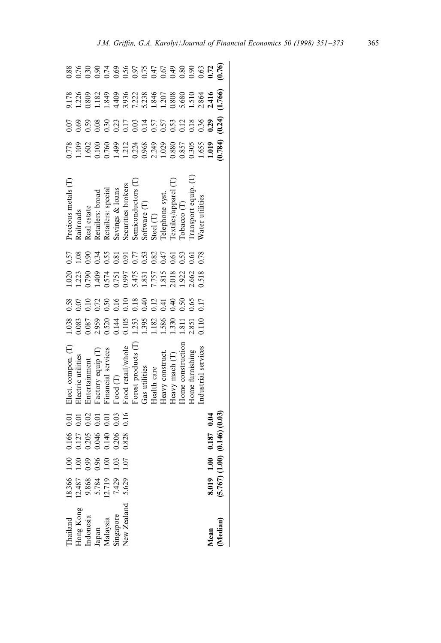| (1.766)                                                                                                                                                                                                                                                                                                       | (0.24)                               | (0.784)                                            |                         |      |                |                |                |                     |      | $(5.767)$ $(1.00)$ $(0.146)$ $(0.03)$ |                            |        | (Median)    |
|---------------------------------------------------------------------------------------------------------------------------------------------------------------------------------------------------------------------------------------------------------------------------------------------------------------|--------------------------------------|----------------------------------------------------|-------------------------|------|----------------|----------------|----------------|---------------------|------|---------------------------------------|----------------------------|--------|-------------|
|                                                                                                                                                                                                                                                                                                               | 0.29                                 | 1.019                                              |                         |      |                |                |                |                     |      | 0.187 0.04                            | $\ddot{ }$ 1.00 $\ddot{ }$ | 8.019  | Mean        |
|                                                                                                                                                                                                                                                                                                               | 0.36                                 | 1.655                                              | Water utilities         | 0.78 | 0.518          | 0.17           | 0.110          | Industrial services |      |                                       |                            |        |             |
|                                                                                                                                                                                                                                                                                                               | 0.18                                 | 0.305                                              | Iransport equip. (T.    | 0.61 | 2.662          | 0.65           | 2.851          | Home furnishing     |      |                                       |                            |        |             |
|                                                                                                                                                                                                                                                                                                               | 0.12                                 |                                                    | Tobacco <sub>(1)</sub>  | 0.53 | 1.922          | 0.50           | 1.811          | Home construction   |      |                                       |                            |        |             |
| $\begin{array}{l} 7.78 \\ 7.128 \\ 8.98 \\ 1.244 \\ 9.15 \\ 1.44 \\ 1.53 \\ 1.68 \\ 1.75 \\ 1.76 \\ 1.77 \\ 1.78 \\ 1.77 \\ 1.77 \\ 1.77 \\ 1.77 \\ 1.77 \\ 1.77 \\ 1.77 \\ 1.77 \\ 1.77 \\ 1.77 \\ 1.77 \\ 1.77 \\ 1.77 \\ 1.77 \\ 1.77 \\ 1.77 \\ 1.77 \\ 1.77 \\ 1.77 \\ 1.77 \\ 1.77 \\ 1.77 \\ 1.77 \\ $ |                                      | 0.857                                              | Textiles/apparel (T)    | 0.61 | 2.018          | $^{0.40}$      | 1.330          | Heavy mach (T)      |      |                                       |                            |        |             |
|                                                                                                                                                                                                                                                                                                               | $0.03$<br>$0.57$<br>$0.57$<br>$0.53$ |                                                    | Telephone syst.         | 0.47 | 1.815          | 0.41           | 1.586          | Heavy construct.    |      |                                       |                            |        |             |
|                                                                                                                                                                                                                                                                                                               |                                      |                                                    | Steel (T)               | 0.82 | 7.757          | 0.12           | 182            | Health care         |      |                                       |                            |        |             |
|                                                                                                                                                                                                                                                                                                               |                                      | 0.760<br>1.499<br>1.212<br>0.968<br>0.949<br>2.249 | Software <sup>(T)</sup> | 0.53 | 1.831          | 0.40           | 1.395          | Gas utilities       |      |                                       |                            |        |             |
|                                                                                                                                                                                                                                                                                                               |                                      |                                                    | Semiconductors (T)      | 0.77 | 5.475          | 0.18           | 1.253          | Forest products (T) |      |                                       |                            |        |             |
|                                                                                                                                                                                                                                                                                                               |                                      |                                                    | Securities brokers      | 0.91 |                | 0.10           | 0.105          | Food retail/whole   | 0.16 | 0.828                                 | S                          | 5.629  | New Zealand |
|                                                                                                                                                                                                                                                                                                               | $\frac{0.23}{0.17}$                  |                                                    | Savings & loans         | 0.81 | 1.751<br>1.997 | 0.16           | 0.144          | Food (T)            | 0.03 | 0.206                                 | S.                         | 7.429  | Singapore   |
|                                                                                                                                                                                                                                                                                                               | 0.30                                 |                                                    | Retailers: special      | 0.55 | 0.574          | 0.50           | 2.959<br>0.520 | Financial services  | 0.01 | 0.140                                 | 00.1                       | 12.719 | Malaysia    |
|                                                                                                                                                                                                                                                                                                               | 0.08                                 | 0.100                                              | Retailers: broad        | 0.34 | 1.409          | 0.72           |                | Factory equip (T)   | 0.01 | 0.046                                 | 0.96                       | 5.784  | Japan       |
|                                                                                                                                                                                                                                                                                                               | 0.59                                 | 1.602                                              | Real estate             | 0.90 | 0.790          | $\frac{10}{2}$ | 0.087          | Entertainment       | 20.0 | 0.205                                 | 0.99                       | 9.868  | Indonesia   |
|                                                                                                                                                                                                                                                                                                               | 0.69                                 | 1.109                                              | Railroads               | 1.08 | 1.223          | 0.07           | 0.83           | Electric utilities  |      | 0.127                                 | <u>ទ</u>                   | 12.487 | Hong Kong   |
|                                                                                                                                                                                                                                                                                                               | 0.07                                 | 3.778                                              | Precious metals (T)     | 0.57 | 1.020          | 0.58           | 1.038          | Elect. compon. (T)  | 0.01 | 0.166                                 | $\overline{0}$             | 18.366 | Thailand    |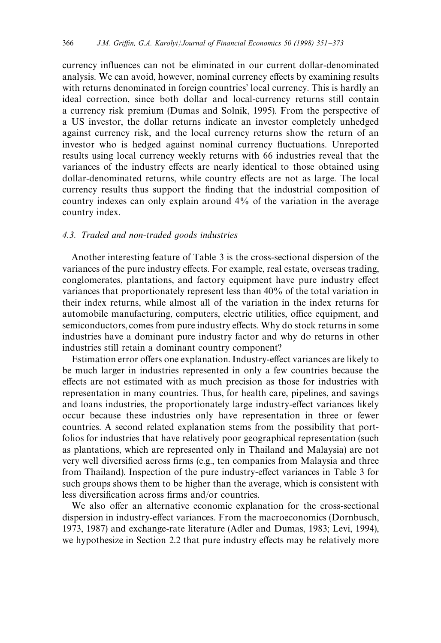currency influences can not be eliminated in our current dollar-denominated analysis. We can avoid, however, nominal currency effects by examining results with returns denominated in foreign countries' local currency. This is hardly an ideal correction, since both dollar and local-currency returns still contain a currency risk premium (Dumas and Solnik, 1995). From the perspective of a US investor, the dollar returns indicate an investor completely unhedged against currency risk, and the local currency returns show the return of an investor who is hedged against nominal currency fluctuations. Unreported results using local currency weekly returns with 66 industries reveal that the variances of the industry effects are nearly identical to those obtained using dollar-denominated returns, while country effects are not as large. The local currency results thus support the finding that the industrial composition of country indexes can only explain around 4% of the variation in the average country index.

# *4.3. Traded and non-traded goods industries*

Another interesting feature of Table 3 is the cross-sectional dispersion of the variances of the pure industry effects. For example, real estate, overseas trading, conglomerates, plantations, and factory equipment have pure industry effect variances that proportionately represent less than 40% of the total variation in their index returns, while almost all of the variation in the index returns for automobile manufacturing, computers, electric utilities, office equipment, and semiconductors, comes from pure industry effects. Why do stock returns in some industries have a dominant pure industry factor and why do returns in other industries still retain a dominant country component?

Estimation error offers one explanation. Industry-effect variances are likely to be much larger in industries represented in only a few countries because the effects are not estimated with as much precision as those for industries with representation in many countries. Thus, for health care, pipelines, and savings and loans industries, the proportionately large industry-effect variances likely occur because these industries only have representation in three or fewer countries. A second related explanation stems from the possibility that portfolios for industries that have relatively poor geographical representation (such as plantations, which are represented only in Thailand and Malaysia) are not very well diversified across firms (e.g., ten companies from Malaysia and three from Thailand). Inspection of the pure industry-effect variances in Table 3 for such groups shows them to be higher than the average, which is consistent with less diversification across firms and/or countries.

We also offer an alternative economic explanation for the cross-sectional dispersion in industry-effect variances. From the macroeconomics (Dornbusch, 1973, 1987) and exchange-rate literature (Adler and Dumas, 1983; Levi, 1994), we hypothesize in Section 2.2 that pure industry effects may be relatively more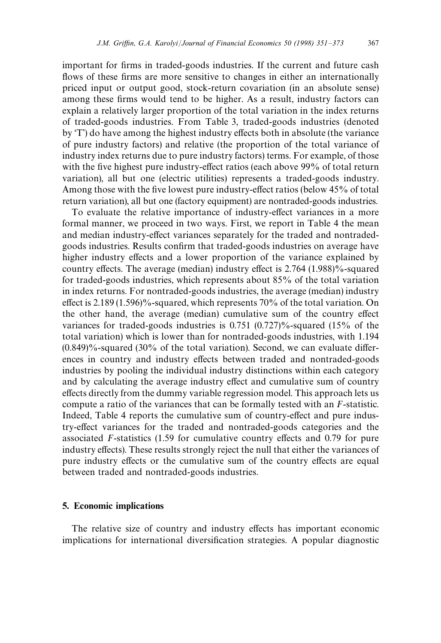important for firms in traded-goods industries. If the current and future cash flows of these firms are more sensitive to changes in either an internationally priced input or output good, stock-return covariation (in an absolute sense) among these firms would tend to be higher. As a result, industry factors can explain a relatively larger proportion of the total variation in the index returns of traded-goods industries. From Table 3, traded-goods industries (denoted by 'T') do have among the highest industry effects both in absolute (the variance of pure industry factors) and relative (the proportion of the total variance of industry index returns due to pure industry factors) terms. For example, of those with the five highest pure industry-effect ratios (each above 99% of total return variation), all but one (electric utilities) represents a traded-goods industry. Among those with the five lowest pure industry-effect ratios (below 45% of total return variation), all but one (factory equipment) are nontraded-goods industries.

To evaluate the relative importance of industry-effect variances in a more formal manner, we proceed in two ways. First, we report in Table 4 the mean and median industry-effect variances separately for the traded and nontradedgoods industries. Results confirm that traded-goods industries on average have higher industry effects and a lower proportion of the variance explained by country effects. The average (median) industry effect is  $2.764$  (1.988)%-squared for traded-goods industries, which represents about 85% of the total variation in index returns. For nontraded-goods industries, the average (median) industry effect is 2.189 (1.596)%-squared, which represents 70% of the total variation. On the other hand, the average (median) cumulative sum of the country effect variances for traded-goods industries is 0.751 (0.727)%-squared (15% of the total variation) which is lower than for nontraded-goods industries, with 1.194 (0.849)%-squared (30% of the total variation). Second, we can evaluate differences in country and industry effects between traded and nontraded-goods industries by pooling the individual industry distinctions within each category and by calculating the average industry effect and cumulative sum of country effects directly from the dummy variable regression model. This approach lets us compute a ratio of the variances that can be formally tested with an *F*-statistic. Indeed, Table 4 reports the cumulative sum of country-effect and pure industry-effect variances for the traded and nontraded-goods categories and the associated *F*-statistics (1.59 for cumulative country effects and 0.79 for pure industry effects). These results strongly reject the null that either the variances of pure industry effects or the cumulative sum of the country effects are equal between traded and nontraded-goods industries.

# 5. Economic implications

The relative size of country and industry effects has important economic implications for international diversification strategies. A popular diagnostic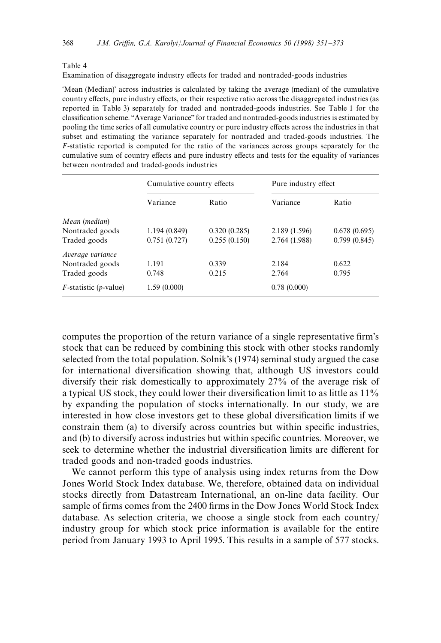#### Table 4

Examination of disaggregate industry effects for traded and nontraded-goods industries

'Mean (Median)' across industries is calculated by taking the average (median) of the cumulative country effects, pure industry effects, or their respective ratio across the disaggregated industries (as reported in Table 3) separately for traded and nontraded-goods industries. See Table 1 for the classification scheme. "Average Variance" for traded and nontraded-goods industries is estimated by pooling the time series of all cumulative country or pure industry effects across the industries in that subset and estimating the variance separately for nontraded and traded-goods industries. The *F*-statistic reported is computed for the ratio of the variances across groups separately for the cumulative sum of country effects and pure industry effects and tests for the equality of variances between nontraded and traded-goods industries

|                          | Cumulative country effects |              | Pure industry effect |              |
|--------------------------|----------------------------|--------------|----------------------|--------------|
|                          | Variance                   | Ratio        | Variance             | Ratio        |
| Mean (median)            |                            |              |                      |              |
| Nontraded goods          | 1.194(0.849)               | 0.320(0.285) | 2.189 (1.596)        | 0.678(0.695) |
| Traded goods             | 0.751(0.727)               | 0.255(0.150) | 2.764 (1.988)        | 0.799(0.845) |
| Average variance         |                            |              |                      |              |
| Nontraded goods          | 1.191                      | 0.339        | 2.184                | 0.622        |
| Traded goods             | 0.748                      | 0.215        | 2.764                | 0.795        |
| $F$ -statistic (p-value) | 1.59(0.000)                |              | 0.78(0.000)          |              |

computes the proportion of the return variance of a single representative firm's stock that can be reduced by combining this stock with other stocks randomly selected from the total population. Solnik's (1974) seminal study argued the case for international diversification showing that, although US investors could diversify their risk domestically to approximately 27% of the average risk of a typical US stock, they could lower their diversification limit to as little as 11% by expanding the population of stocks internationally. In our study, we are interested in how close investors get to these global diversification limits if we constrain them (a) to diversify across countries but within specific industries, and (b) to diversify across industries but within specific countries. Moreover, we seek to determine whether the industrial diversification limits are different for traded goods and non-traded goods industries.

We cannot perform this type of analysis using index returns from the Dow Jones World Stock Index database. We, therefore, obtained data on individual stocks directly from Datastream International, an on-line data facility. Our sample of firms comes from the 2400 firms in the Dow Jones World Stock Index database. As selection criteria, we choose a single stock from each country/ industry group for which stock price information is available for the entire period from January 1993 to April 1995. This results in a sample of 577 stocks.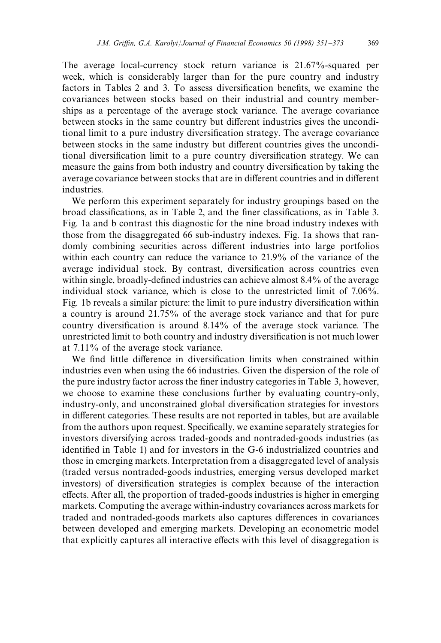The average local-currency stock return variance is 21.67%-squared per week, which is considerably larger than for the pure country and industry factors in Tables 2 and 3. To assess diversification benefits, we examine the covariances between stocks based on their industrial and country memberships as a percentage of the average stock variance. The average covariance between stocks in the same country but different industries gives the unconditional limit to a pure industry diversification strategy. The average covariance between stocks in the same industry but different countries gives the unconditional diversification limit to a pure country diversification strategy. We can measure the gains from both industry and country diversification by taking the average covariance between stocks that are in different countries and in different industries.

We perform this experiment separately for industry groupings based on the broad classifications, as in Table 2, and the finer classifications, as in Table 3. Fig. 1a and b contrast this diagnostic for the nine broad industry indexes with those from the disaggregated 66 sub-industry indexes. Fig. 1a shows that randomly combining securities across different industries into large portfolios within each country can reduce the variance to 21.9% of the variance of the average individual stock. By contrast, diversification across countries even within single, broadly-defined industries can achieve almost 8.4% of the average individual stock variance, which is close to the unrestricted limit of 7.06%. Fig. 1b reveals a similar picture: the limit to pure industry diversification within a country is around 21.75% of the average stock variance and that for pure country diversification is around 8.14% of the average stock variance. The unrestricted limit to both country and industry diversification is not much lower at 7.11% of the average stock variance.

We find little difference in diversification limits when constrained within industries even when using the 66 industries. Given the dispersion of the role of the pure industry factor across the finer industry categories in Table 3, however, we choose to examine these conclusions further by evaluating country-only, industry-only, and unconstrained global diversification strategies for investors in different categories. These results are not reported in tables, but are available from the authors upon request. Specifically, we examine separately strategies for investors diversifying across traded-goods and nontraded-goods industries (as identified in Table 1) and for investors in the G-6 industrialized countries and those in emerging markets. Interpretation from a disaggregated level of analysis (traded versus nontraded-goods industries, emerging versus developed market investors) of diversification strategies is complex because of the interaction effects. After all, the proportion of traded-goods industries is higher in emerging markets. Computing the average within-industry covariances across markets for traded and nontraded-goods markets also captures differences in covariances between developed and emerging markets. Developing an econometric model that explicitly captures all interactive effects with this level of disaggregation is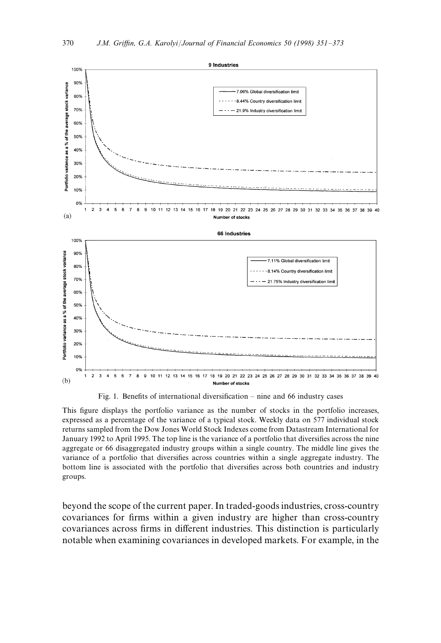

Fig. 1. Benefits of international diversification *—* nine and 66 industry cases

This figure displays the portfolio variance as the number of stocks in the portfolio increases, expressed as a percentage of the variance of a typical stock. Weekly data on 577 individual stock returns sampled from the Dow Jones World Stock Indexes come from Datastream International for January 1992 to April 1995. The top line is the variance of a portfolio that diversifies across the nine aggregate or 66 disaggregated industry groups within a single country. The middle line gives the variance of a portfolio that diversifies across countries within a single aggregate industry. The bottom line is associated with the portfolio that diversifies across both countries and industry groups.

beyond the scope of the current paper. In traded-goods industries, cross-country covariances for firms within a given industry are higher than cross-country covariances across firms in different industries. This distinction is particularly notable when examining covariances in developed markets. For example, in the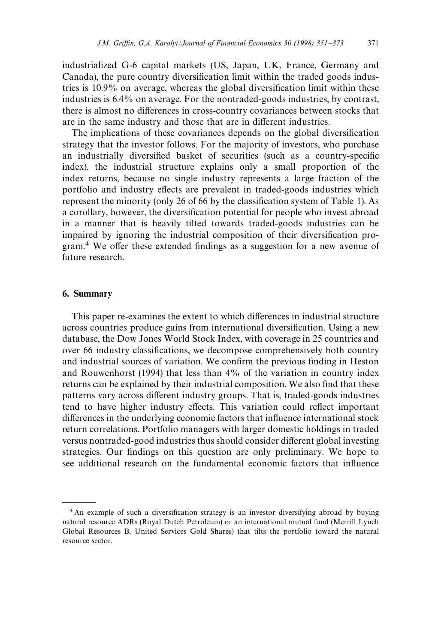industrialized G-6 capital markets (US, Japan, UK, France, Germany and Canada), the pure country diversification limit within the traded goods industries is  $10.9\%$  on average, whereas the global diversification limit within these industries is 6.4% on average. For the nontraded-goods industries, by contrast, there is almost no differences in cross-country covariances between stocks that are in the same industry and those that are in different industries.

The implications of these covariances depends on the global diversification strategy that the investor follows. For the majority of investors, who purchase an industrially diversified basket of securities (such as a country-specific index), the industrial structure explains only a small proportion of the index returns, because no single industry represents a large fraction of the portfolio and industry effects are prevalent in traded-goods industries which represent the minority (only 26 of 66 by the classification system of Table 1). As a corollary, however, the diversification potential for people who invest abroad in a manner that is heavily tilted towards traded-goods industries can be impaired by ignoring the industrial composition of their diversification program.4 We offer these extended findings as a suggestion for a new avenue of future research.

#### 6. Summary

This paper re-examines the extent to which differences in industrial structure across countries produce gains from international diversification. Using a new database, the Dow Jones World Stock Index, with coverage in 25 countries and over 66 industry classifications, we decompose comprehensively both country and industrial sources of variation. We confirm the previous finding in Heston and Rouwenhorst (1994) that less than 4% of the variation in country index returns can be explained by their industrial composition. We also find that these patterns vary across different industry groups. That is, traded-goods industries tend to have higher industry effects. This variation could reflect important differences in the underlying economic factors that influence international stock return correlations. Portfolio managers with larger domestic holdings in traded versus nontraded-good industries thus should consider different global investing strategies. Our findings on this question are only preliminary. We hope to see additional research on the fundamental economic factors that influence

<sup>4</sup> An example of such a diversification strategy is an investor diversifying abroad by buying natural resource ADRs (Royal Dutch Petroleum) or an international mutual fund (Merrill Lynch Global Resources B, United Services Gold Shares) that tilts the portfolio toward the natural resource sector.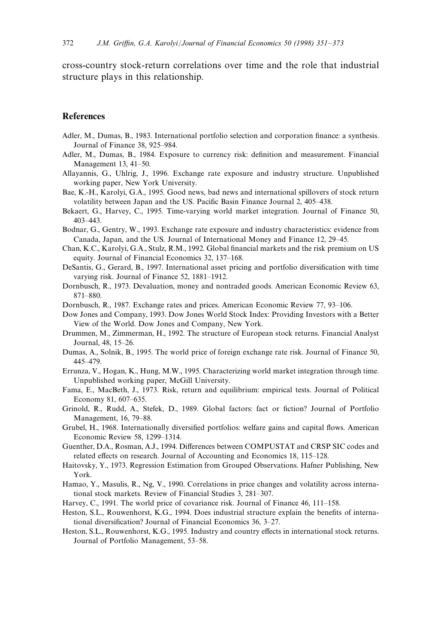cross-country stock-return correlations over time and the role that industrial structure plays in this relationship.

## References

- Adler, M., Dumas, B., 1983. International portfolio selection and corporation finance: a synthesis. Journal of Finance 38, 925*—*984.
- Adler, M., Dumas, B., 1984. Exposure to currency risk: definition and measurement. Financial Management 13, 41*—*50.
- Allayannis, G., Uhlrig, J., 1996. Exchange rate exposure and industry structure. Unpublished working paper, New York University.
- Bae, K.-H., Karolyi, G.A., 1995. Good news, bad news and international spillovers of stock return volatility between Japan and the US. Pacific Basin Finance Journal 2, 405*—*438.
- Bekaert, G., Harvey, C., 1995. Time-varying world market integration. Journal of Finance 50, 403*—*443.
- Bodnar, G., Gentry, W., 1993. Exchange rate exposure and industry characteristics: evidence from Canada, Japan, and the US. Journal of International Money and Finance 12, 29*—*45.
- Chan, K.C., Karolyi, G.A., Stulz, R.M., 1992. Global financial markets and the risk premium on US equity. Journal of Financial Economics 32, 137*—*168.
- DeSantis, G., Gerard, B., 1997. International asset pricing and portfolio diversification with time varying risk. Journal of Finance 52, 1881*—*1912.
- Dornbusch, R., 1973. Devaluation, money and nontraded goods. American Economic Review 63, 871*—*880.
- Dornbusch, R., 1987. Exchange rates and prices. American Economic Review 77, 93*—*106.
- Dow Jones and Company, 1993. Dow Jones World Stock Index: Providing Investors with a Better View of the World. Dow Jones and Company, New York.
- Drummen, M., Zimmerman, H., 1992. The structure of European stock returns. Financial Analyst Journal, 48, 15*—*26.
- Dumas, A., Solnik, B., 1995. The world price of foreign exchange rate risk. Journal of Finance 50, 445*—*479.
- Errunza, V., Hogan, K., Hung, M.W., 1995. Characterizing world market integration through time. Unpublished working paper, McGill University.
- Fama, E., MacBeth, J., 1973. Risk, return and equilibrium: empirical tests. Journal of Political Economy 81, 607*—*635.
- Grinold, R., Rudd, A., Stefek, D., 1989. Global factors: fact or fiction? Journal of Portfolio Management, 16, 79*—*88.
- Grubel, H., 1968. Internationally diversified portfolios: welfare gains and capital flows. American Economic Review 58, 1299*—*1314.
- Guenther, D.A., Rosman, A.J., 1994. Differences between COMPUSTAT and CRSP SIC codes and related effects on research. Journal of Accounting and Economics 18, 115*—*128.
- Haitovsky, Y., 1973. Regression Estimation from Grouped Observations. Hafner Publishing, New York.
- Hamao, Y., Masulis, R., Ng, V., 1990. Correlations in price changes and volatility across international stock markets. Review of Financial Studies 3, 281*—*307.
- Harvey, C., 1991. The world price of covariance risk. Journal of Finance 46, 111*—*158.
- Heston, S.L., Rouwenhorst, K.G., 1994. Does industrial structure explain the benefits of international diversification? Journal of Financial Economics 36, 3*—*27.
- Heston, S.L., Rouwenhorst, K.G., 1995. Industry and country effects in international stock returns. Journal of Portfolio Management, 53*—*58.